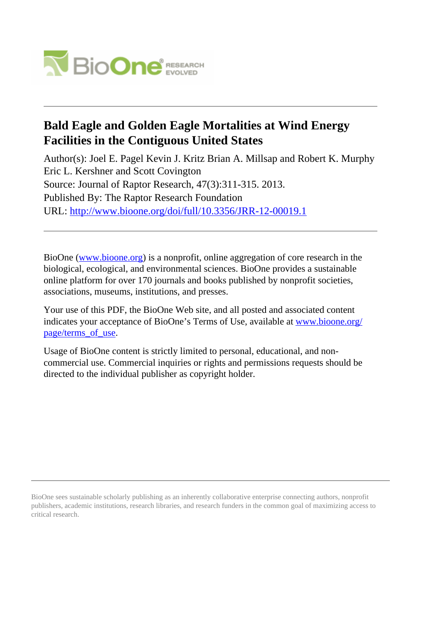

# **Bald Eagle and Golden Eagle Mortalities at Wind Energy Facilities in the Contiguous United States**

Author(s): Joel E. Pagel Kevin J. Kritz Brian A. Millsap and Robert K. Murphy Eric L. Kershner and Scott Covington Source: Journal of Raptor Research, 47(3):311-315. 2013. Published By: The Raptor Research Foundation URL: <http://www.bioone.org/doi/full/10.3356/JRR-12-00019.1>

BioOne [\(www.bioone.org\)](http://www.bioone.org) is a nonprofit, online aggregation of core research in the biological, ecological, and environmental sciences. BioOne provides a sustainable online platform for over 170 journals and books published by nonprofit societies, associations, museums, institutions, and presses.

Your use of this PDF, the BioOne Web site, and all posted and associated content indicates your acceptance of BioOne's Terms of Use, available at [www.bioone.org/](http://www.bioone.org/page/terms_of_use) [page/terms\\_of\\_use](http://www.bioone.org/page/terms_of_use).

Usage of BioOne content is strictly limited to personal, educational, and noncommercial use. Commercial inquiries or rights and permissions requests should be directed to the individual publisher as copyright holder.

BioOne sees sustainable scholarly publishing as an inherently collaborative enterprise connecting authors, nonprofit publishers, academic institutions, research libraries, and research funders in the common goal of maximizing access to critical research.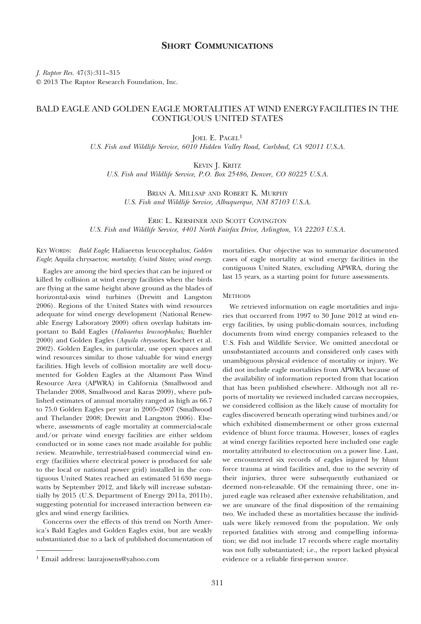# SHORT COMMUNICATIONS

J. Raptor Res. 47(3):311–315 E 2013 The Raptor Research Foundation, Inc.

# BALD EAGLE AND GOLDEN EAGLE MORTALITIES AT WIND ENERGY FACILITIES IN THE CONTIGUOUS UNITED STATES

JOEL E. PAGEL1

U.S. Fish and Wildlife Service, 6010 Hidden Valley Road, Carlsbad, CA 92011 U.S.A.

KEVIN J. KRITZ

U.S. Fish and Wildlife Service, P.O. Box 25486, Denver, CO 80225 U.S.A.

BRIAN A. MILLSAP AND ROBERT K. MURPHY U.S. Fish and Wildlife Service, Albuquerque, NM 87103 U.S.A.

ERIC L. KERSHNER AND SCOTT COVINGTON U.S. Fish and Wildlife Service, 4401 North Fairfax Drive, Arlington, VA 22203 U.S.A.

KEY WORDS: Bald Eagle; Haliaeetus leucocephalus; Golden Eagle; Aquila chrysaetos; mortality; United States; wind energy.

Eagles are among the bird species that can be injured or killed by collision at wind energy facilities when the birds are flying at the same height above ground as the blades of horizontal-axis wind turbines (Drewitt and Langston 2006). Regions of the United States with wind resources adequate for wind energy development (National Renewable Energy Laboratory 2009) often overlap habitats important to Bald Eagles (Haliaeetus leucocephalus; Buehler 2000) and Golden Eagles (Aquila chrysaetos; Kochert et al. 2002). Golden Eagles, in particular, use open spaces and wind resources similar to those valuable for wind energy facilities. High levels of collision mortality are well documented for Golden Eagles at the Altamont Pass Wind Resource Area (APWRA) in California (Smallwood and Thelander 2008, Smallwood and Karas 2009), where published estimates of annual mortality ranged as high as 66.7 to 75.0 Golden Eagles per year in 2005–2007 (Smallwood and Thelander 2008; Drewitt and Langston 2006). Elsewhere, assessments of eagle mortality at commercial-scale and/or private wind energy facilities are either seldom conducted or in some cases not made available for public review. Meanwhile, terrestrial-based commercial wind energy (facilities where electrical power is produced for sale to the local or national power grid) installed in the contiguous United States reached an estimated 51 630 megawatts by September 2012, and likely will increase substantially by 2015 (U.S. Department of Energy 2011a, 2011b), suggesting potential for increased interaction between eagles and wind energy facilities.

Concerns over the effects of this trend on North America's Bald Eagles and Golden Eagles exist, but are weakly substantiated due to a lack of published documentation of mortalities. Our objective was to summarize documented cases of eagle mortality at wind energy facilities in the contiguous United States, excluding APWRA, during the last 15 years, as a starting point for future assessments.

#### **METHODS**

We retrieved information on eagle mortalities and injuries that occurred from 1997 to 30 June 2012 at wind energy facilities, by using public-domain sources, including documents from wind energy companies released to the U.S. Fish and Wildlife Service. We omitted anecdotal or unsubstantiated accounts and considered only cases with unambiguous physical evidence of mortality or injury. We did not include eagle mortalities from APWRA because of the availability of information reported from that location that has been published elsewhere. Although not all reports of mortality we reviewed included carcass necropsies, we considered collision as the likely cause of mortality for eagles discovered beneath operating wind turbines and/or which exhibited dismemberment or other gross external evidence of blunt force trauma. However, losses of eagles at wind energy facilities reported here included one eagle mortality attributed to electrocution on a power line. Last, we encountered six records of eagles injured by blunt force trauma at wind facilities and, due to the severity of their injuries, three were subsequently euthanized or deemed non-releasable. Of the remaining three, one injured eagle was released after extensive rehabilitation, and we are unaware of the final disposition of the remaining two. We included these as mortalities because the individuals were likely removed from the population. We only reported fatalities with strong and compelling information; we did not include 17 records where eagle mortality was not fully substantiated; i.e., the report lacked physical <sup>1</sup> Email address: laurajosens@yahoo.com evidence or a reliable first-person source.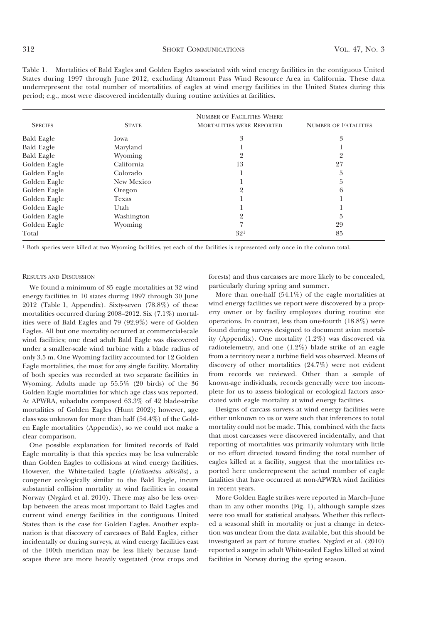| Table 1. Mortalities of Bald Eagles and Golden Eagles associated with wind energy facilities in the contiguous United |
|-----------------------------------------------------------------------------------------------------------------------|
| States during 1997 through June 2012, excluding Altamont Pass Wind Resource Area in California. These data            |
| underrepresent the total number of mortalities of eagles at wind energy facilities in the United States during this   |
| period; e.g., most were discovered incidentally during routine activities at facilities.                              |

| <b>SPECIES</b>    | <b>STATE</b> | <b>NUMBER OF FACILITIES WHERE</b><br><b>MORTALITIES WERE REPORTED</b> | <b>NUMBER OF FATALITIES</b> |
|-------------------|--------------|-----------------------------------------------------------------------|-----------------------------|
| <b>Bald Eagle</b> | Iowa         | 3                                                                     | 3                           |
| <b>Bald Eagle</b> | Maryland     |                                                                       |                             |
| <b>Bald Eagle</b> | Wyoming      |                                                                       |                             |
| Golden Eagle      | California   | 13                                                                    | 27                          |
| Golden Eagle      | Colorado     |                                                                       | 5                           |
| Golden Eagle      | New Mexico   |                                                                       | 5                           |
| Golden Eagle      | Oregon       |                                                                       | b                           |
| Golden Eagle      | Texas        |                                                                       |                             |
| Golden Eagle      | Utah         |                                                                       |                             |
| Golden Eagle      | Washington   |                                                                       | 5                           |
| Golden Eagle      | Wyoming      |                                                                       | 29                          |
| Total             |              | 321                                                                   | 85                          |

<sup>1</sup> Both species were killed at two Wyoming facilities, yet each of the facilities is represented only once in the column total.

#### RESULTS AND DISCUSSION

We found a minimum of 85 eagle mortalities at 32 wind energy facilities in 10 states during 1997 through 30 June 2012 (Table 1, Appendix). Sixty-seven (78.8%) of these mortalities occurred during 2008–2012. Six (7.1%) mortalities were of Bald Eagles and 79 (92.9%) were of Golden Eagles. All but one mortality occurred at commercial-scale wind facilities; one dead adult Bald Eagle was discovered under a smaller-scale wind turbine with a blade radius of only 3.5 m. One Wyoming facility accounted for 12 Golden Eagle mortalities, the most for any single facility. Mortality of both species was recorded at two separate facilities in Wyoming. Adults made up 55.5% (20 birds) of the 36 Golden Eagle mortalities for which age class was reported. At APWRA, subadults composed 63.3% of 42 blade-strike mortalities of Golden Eagles (Hunt 2002); however, age class was unknown for more than half (54.4%) of the Golden Eagle mortalities (Appendix), so we could not make a clear comparison.

One possible explanation for limited records of Bald Eagle mortality is that this species may be less vulnerable than Golden Eagles to collisions at wind energy facilities. However, the White-tailed Eagle (Haliaeetus albicilla), a congener ecologically similar to the Bald Eagle, incurs substantial collision mortality at wind facilities in coastal Norway (Nygård et al. 2010). There may also be less overlap between the areas most important to Bald Eagles and current wind energy facilities in the contiguous United States than is the case for Golden Eagles. Another explanation is that discovery of carcasses of Bald Eagles, either incidentally or during surveys, at wind energy facilities east of the 100th meridian may be less likely because landscapes there are more heavily vegetated (row crops and

forests) and thus carcasses are more likely to be concealed, particularly during spring and summer.

More than one-half (54.1%) of the eagle mortalities at wind energy facilities we report were discovered by a property owner or by facility employees during routine site operations. In contrast, less than one-fourth (18.8%) were found during surveys designed to document avian mortality (Appendix). One mortality (1.2%) was discovered via radiotelemetry, and one (1.2%) blade strike of an eagle from a territory near a turbine field was observed. Means of discovery of other mortalities (24.7%) were not evident from records we reviewed. Other than a sample of known-age individuals, records generally were too incomplete for us to assess biological or ecological factors associated with eagle mortality at wind energy facilities.

Designs of carcass surveys at wind energy facilities were either unknown to us or were such that inferences to total mortality could not be made. This, combined with the facts that most carcasses were discovered incidentally, and that reporting of mortalities was primarily voluntary with little or no effort directed toward finding the total number of eagles killed at a facility, suggest that the mortalities reported here underrepresent the actual number of eagle fatalities that have occurred at non-APWRA wind facilities in recent years.

More Golden Eagle strikes were reported in March–June than in any other months (Fig. 1), although sample sizes were too small for statistical analyses. Whether this reflected a seasonal shift in mortality or just a change in detection was unclear from the data available, but this should be investigated as part of future studies. Nygård et al. (2010) reported a surge in adult White-tailed Eagles killed at wind facilities in Norway during the spring season.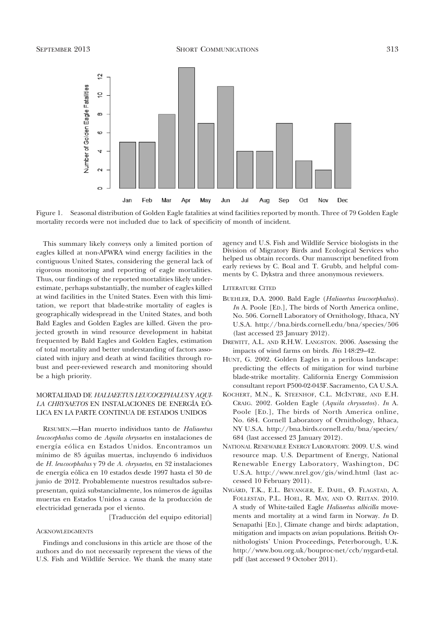

Figure 1. Seasonal distribution of Golden Eagle fatalities at wind facilities reported by month. Three of 79 Golden Eagle mortality records were not included due to lack of specificity of month of incident.

This summary likely conveys only a limited portion of eagles killed at non-APWRA wind energy facilities in the contiguous United States, considering the general lack of rigorous monitoring and reporting of eagle mortalities. Thus, our findings of the reported mortalities likely underestimate, perhaps substantially, the number of eagles killed at wind facilities in the United States. Even with this limitation, we report that blade-strike mortality of eagles is geographically widespread in the United States, and both Bald Eagles and Golden Eagles are killed. Given the projected growth in wind resource development in habitat frequented by Bald Eagles and Golden Eagles, estimation of total mortality and better understanding of factors associated with injury and death at wind facilities through robust and peer-reviewed research and monitoring should be a high priority.

### MORTALIDAD DE HALIAEETUS LEUCOCEPHALUS Y AQUI-LA CHRYSAETOS EN INSTALACIONES DE ENERGÍA EÓ-LICA EN LA PARTE CONTINUA DE ESTADOS UNIDOS

RESUMEN.—Han muerto individuos tanto de Haliaeetus leucocephalus como de Aquila chrysaetos en instalaciones de energía eólica en Estados Unidos. Encontramos un mínimo de 85 águilas muertas, incluyendo 6 individuos de H. leucocephalus y 79 de A. chrysaetos, en 32 instalaciones de energía eólica en 10 estados desde 1997 hasta el 30 de junio de 2012. Probablemente nuestros resultados sub-representan, quizá substancialmente, los números de águilas muertas en Estados Unidos a causa de la producción de electricidad generada por el viento.

[Traducción del equipo editorial]

#### ACKNOWLEDGMENTS

Findings and conclusions in this article are those of the authors and do not necessarily represent the views of the U.S. Fish and Wildlife Service. We thank the many state

agency and U.S. Fish and Wildlife Service biologists in the Division of Migratory Birds and Ecological Services who helped us obtain records. Our manuscript benefited from early reviews by C. Boal and T. Grubb, and helpful comments by C. Dykstra and three anonymous reviewers.

#### LITERATURE CITED

- BUEHLER, D.A. 2000. Bald Eagle (Haliaeetus leucocephalus). In A. Poole [ED.], The birds of North America online, No. 506. Cornell Laboratory of Ornithology, Ithaca, NY U.S.A. http://bna.birds.cornell.edu/bna/species/506 (last accessed 23 January 2012).
- DREWITT, A.L. AND R.H.W. LANGSTON. 2006. Assessing the impacts of wind farms on birds. Ibis 148:29–42.
- HUNT, G. 2002. Golden Eagles in a perilous landscape: predicting the effects of mitigation for wind turbine blade-strike mortality. California Energy Commission consultant report P500-02-043F. Sacramento, CA U.S.A.
- KOCHERT, M.N., K. STEENHOF, C.L. MCINTYRE, AND E.H. CRAIG. 2002. Golden Eagle (Aquila chrysaetos). In A. Poole [ED.], The birds of North America online, No. 684. Cornell Laboratory of Ornithology, Ithaca, NY U.S.A. http://bna.birds.cornell.edu/bna/species/ 684 (last accessed 23 January 2012).
- NATIONAL RENEWABLE ENERGY LABORATORY. 2009. U.S. wind resource map. U.S. Department of Energy, National Renewable Energy Laboratory, Washington, DC U.S.A. http://www.nrel.gov/gis/wind.html (last accessed 10 February 2011).
- NYGÅRD, T.K., E.L. BEVANGER, E. DAHL, Ø. FLAGSTAD, A. FOLLESTAD, P.L. HOEL, R. MAY, AND O. REITAN. 2010. A study of White-tailed Eagle Haliaeetus albicilla movements and mortality at a wind farm in Norway. In D. Senapathi [ED.], Climate change and birds: adaptation, mitigation and impacts on avian populations. British Ornithologists' Union Proceedings, Peterborough, U.K. http://www.bou.org.uk/bouproc-net/ccb/nygard-etal. pdf (last accessed 9 October 2011).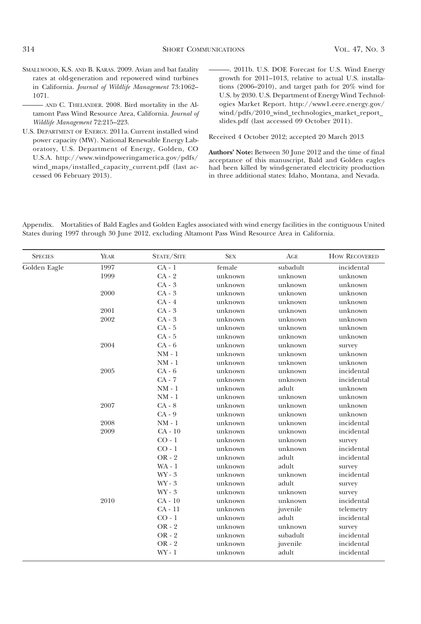- SMALLWOOD, K.S. AND B. KARAS. 2009. Avian and bat fatality rates at old-generation and repowered wind turbines in California. Journal of Wildlife Management 73:1062– 1071.
	- ——— AND C. THELANDER. 2008. Bird mortality in the Altamont Pass Wind Resource Area, California. Journal of Wildlife Management 72:215–223.
- U.S. DEPARTMENT OF ENERGY. 2011a. Current installed wind power capacity (MW). National Renewable Energy Laboratory, U.S. Department of Energy, Golden, CO U.S.A. http://www.windpoweringamerica.gov/pdfs/ wind\_maps/installed\_capacity\_current.pdf (last accessed 06 February 2013).
- ———. 2011b. U.S. DOE Forecast for U.S. Wind Energy growth for 2011–1013, relative to actual U.S. installations (2006–2010), and target path for 20% wind for U.S. by 2030. U.S. Department of Energy Wind Technologies Market Report. http://www1.eere.energy.gov/ wind/pdfs/2010\_wind\_technologies\_market\_report\_ slides.pdf (last accessed 09 October 2011).

Received 4 October 2012; accepted 20 March 2013

Authors' Note: Between 30 June 2012 and the time of final acceptance of this manuscript, Bald and Golden eagles had been killed by wind-generated electricity production in three additional states: Idaho, Montana, and Nevada.

Appendix. Mortalities of Bald Eagles and Golden Eagles associated with wind energy facilities in the contiguous United States during 1997 through 30 June 2012, excluding Altamont Pass Wind Resource Area in California.

| <b>SPECIES</b> | YEAR | STATE/SITE | <b>SEX</b> | AGE      | <b>HOW RECOVERED</b> |
|----------------|------|------------|------------|----------|----------------------|
| Golden Eagle   | 1997 | $CA - 1$   | female     | subadult | incidental           |
|                | 1999 | $CA - 2$   | unknown    | unknown  | unknown              |
|                |      | $CA - 3$   | unknown    | unknown  | unknown              |
|                | 2000 | $CA - 3$   | unknown    | unknown  | unknown              |
|                |      | $CA - 4$   | unknown    | unknown  | unknown              |
|                | 2001 | $CA - 3$   | unknown    | unknown  | unknown              |
|                | 2002 | $CA - 3$   | unknown    | unknown  | unknown              |
|                |      | $CA - 5$   | unknown    | unknown  | unknown              |
|                |      | $CA - 5$   | unknown    | unknown  | unknown              |
|                | 2004 | $CA - 6$   | unknown    | unknown  | survey               |
|                |      | $NM - 1$   | unknown    | unknown  | unknown              |
|                |      | $NM - 1$   | unknown    | unknown  | unknown              |
|                | 2005 | $CA - 6$   | unknown    | unknown  | incidental           |
|                |      | $CA - 7$   | unknown    | unknown  | incidental           |
|                |      | $NM - 1$   | unknown    | adult    | unknown              |
|                |      | $NM - 1$   | unknown    | unknown  | unknown              |
|                | 2007 | $CA - 8$   | unknown    | unknown  | unknown              |
|                |      | $CA - 9$   | unknown    | unknown  | unknown              |
|                | 2008 | $NM - 1$   | unknown    | unknown  | incidental           |
|                | 2009 | $CA - 10$  | unknown    | unknown  | incidental           |
|                |      | $CO - 1$   | unknown    | unknown  | survey               |
|                |      | $CO - 1$   | unknown    | unknown  | incidental           |
|                |      | $OR - 2$   | unknown    | adult    | incidental           |
|                |      | $WA - 1$   | unknown    | adult    | survey               |
|                |      | WY - 3     | unknown    | unknown  | incidental           |
|                |      | $WY - 3$   | unknown    | adult    | survey               |
|                |      | $WY - 3$   | unknown    | unknown  | survey               |
|                | 2010 | $CA - 10$  | unknown    | unknown  | incidental           |
|                |      | $CA - 11$  | unknown    | juvenile | telemetry            |
|                |      | $CO - 1$   | unknown    | adult    | incidental           |
|                |      | $OR - 2$   | unknown    | unknown  | survey               |
|                |      | $OR - 2$   | unknown    | subadult | incidental           |
|                |      | $OR - 2$   | unknown    | juvenile | incidental           |
|                |      | $WY - 1$   | unknown    | adult    | incidental           |
|                |      |            |            |          |                      |